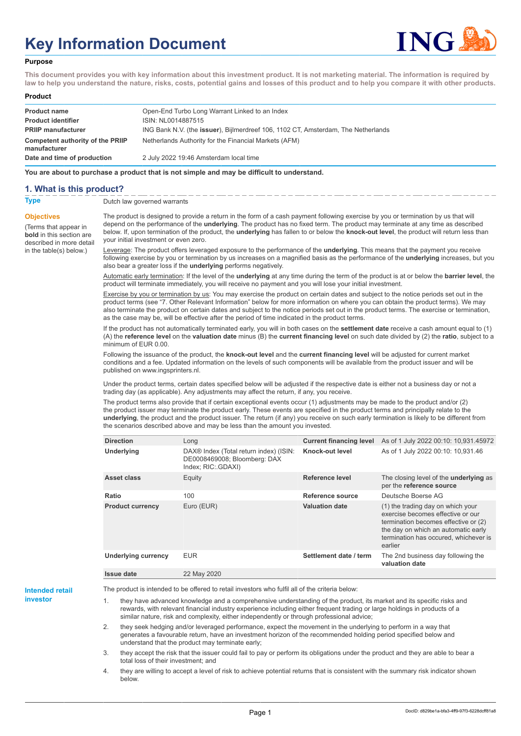# **Key Information Document**



#### **Purpose**

**This document provides you with key information about this investment product. It is not marketing material. The information is required by law to help you understand the nature, risks, costs, potential gains and losses of this product and to help you compare it with other products.**

#### **Product**

| <b>Product name</b><br><b>Product identifier</b> | Open-End Turbo Long Warrant Linked to an Index<br>ISIN: NL0014887515                      |
|--------------------------------------------------|-------------------------------------------------------------------------------------------|
| <b>PRIIP manufacturer</b>                        | ING Bank N.V. (the <b>issuer</b> ), Bijlmerdreef 106, 1102 CT, Amsterdam, The Netherlands |
| Competent authority of the PRIIP<br>manufacturer | Netherlands Authority for the Financial Markets (AFM)                                     |
| Date and time of production                      | 2 July 2022 19:46 Amsterdam local time                                                    |

**You are about to purchase a product that is not simple and may be difficult to understand.**

### **1. What is this product?**

**Objectives**

(Terms that appear in **bold** in this section are

in the table(s) below.)

**Type** Dutch law governed warrants

described in more detail The product is designed to provide a return in the form of a cash payment following exercise by you or termination by us that will depend on the performance of the **underlying**. The product has no fixed term. The product may terminate at any time as described below. If, upon termination of the product, the **underlying** has fallen to or below the **knock-out level**, the product will return less than your initial investment or even zero.

> Leverage: The product offers leveraged exposure to the performance of the **underlying**. This means that the payment you receive following exercise by you or termination by us increases on a magnified basis as the performance of the **underlying** increases, but you also bear a greater loss if the **underlying** performs negatively.

> Automatic early termination: If the level of the **underlying** at any time during the term of the product is at or below the **barrier level**, the product will terminate immediately, you will receive no payment and you will lose your initial investment.

Exercise by you or termination by us: You may exercise the product on certain dates and subject to the notice periods set out in the product terms (see "7. Other Relevant Information" below for more information on where you can obtain the product terms). We may also terminate the product on certain dates and subject to the notice periods set out in the product terms. The exercise or termination, as the case may be, will be effective after the period of time indicated in the product terms.

If the product has not automatically terminated early, you will in both cases on the **settlement date** receive a cash amount equal to (1) (A) the **reference level** on the **valuation date** minus (B) the **current financing level** on such date divided by (2) the **ratio**, subject to a minimum of EUR 0.00.

Following the issuance of the product, the **knock-out level** and the **current financing level** will be adjusted for current market conditions and a fee. Updated information on the levels of such components will be available from the product issuer and will be published on www.ingsprinters.nl.

Under the product terms, certain dates specified below will be adjusted if the respective date is either not a business day or not a trading day (as applicable). Any adjustments may affect the return, if any, you receive.

The product terms also provide that if certain exceptional events occur (1) adjustments may be made to the product and/or (2) the product issuer may terminate the product early. These events are specified in the product terms and principally relate to the **underlying**, the product and the product issuer. The return (if any) you receive on such early termination is likely to be different from the scenarios described above and may be less than the amount you invested.

| <b>Direction</b>           | Long                                                                                                     | <b>Current financing level</b> | As of 1 July 2022 00:10: 10,931.45972                                                                                                                                                                     |
|----------------------------|----------------------------------------------------------------------------------------------------------|--------------------------------|-----------------------------------------------------------------------------------------------------------------------------------------------------------------------------------------------------------|
| <b>Underlying</b>          | DAX <sup>®</sup> Index (Total return index) (ISIN:<br>DE0008469008; Bloomberg: DAX<br>Index; RIC: GDAXI) | Knock-out level                | As of 1 July 2022 00:10: 10,931.46                                                                                                                                                                        |
| Asset class                | Equity                                                                                                   | Reference level                | The closing level of the <b>underlying</b> as<br>per the reference source                                                                                                                                 |
| Ratio                      | 100                                                                                                      | Reference source               | Deutsche Boerse AG                                                                                                                                                                                        |
| <b>Product currency</b>    | Euro (EUR)                                                                                               | <b>Valuation date</b>          | (1) the trading day on which your<br>exercise becomes effective or our<br>termination becomes effective or (2)<br>the day on which an automatic early<br>termination has occured, whichever is<br>earlier |
| <b>Underlying currency</b> | <b>EUR</b>                                                                                               | Settlement date / term         | The 2nd business day following the<br>valuation date                                                                                                                                                      |
| Issue date                 | 22 May 2020                                                                                              |                                |                                                                                                                                                                                                           |

**Intended retail investor**

The product is intended to be offered to retail investors who fulfil all of the criteria below:

they have advanced knowledge and a comprehensive understanding of the product, its market and its specific risks and rewards, with relevant financial industry experience including either frequent trading or large holdings in products of a similar nature, risk and complexity, either independently or through professional advice;

2. they seek hedging and/or leveraged performance, expect the movement in the underlying to perform in a way that generates a favourable return, have an investment horizon of the recommended holding period specified below and understand that the product may terminate early;

3. they accept the risk that the issuer could fail to pay or perform its obligations under the product and they are able to bear a total loss of their investment; and

4. they are willing to accept a level of risk to achieve potential returns that is consistent with the summary risk indicator shown below.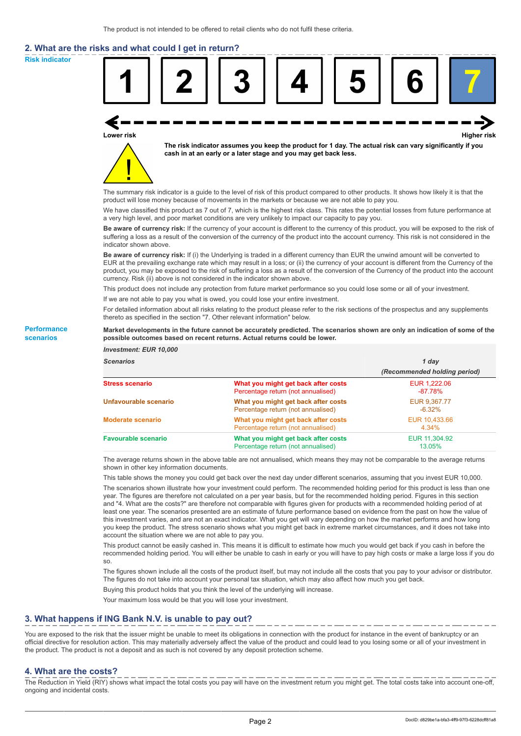# **2. What are the risks and what could I get in return?**

**Risk indicator**

**Performance scenarios**



thereto as specified in the section "7. Other relevant information" below.

#### **Market developments in the future cannot be accurately predicted. The scenarios shown are only an indication of some of the possible outcomes based on recent returns. Actual returns could be lower.**

| <b>Investment: EUR 10,000</b> |                                                                           |                              |
|-------------------------------|---------------------------------------------------------------------------|------------------------------|
| <b>Scenarios</b>              |                                                                           | 1 day                        |
|                               |                                                                           | (Recommended holding period) |
| <b>Stress scenario</b>        | What you might get back after costs<br>Percentage return (not annualised) | EUR 1.222.06<br>$-87.78%$    |
| Unfavourable scenario         | What you might get back after costs<br>Percentage return (not annualised) | EUR 9,367.77<br>$-6.32\%$    |
| <b>Moderate scenario</b>      | What you might get back after costs<br>Percentage return (not annualised) | EUR 10.433.66<br>4.34%       |
| <b>Favourable scenario</b>    | What you might get back after costs<br>Percentage return (not annualised) | EUR 11,304.92<br>13.05%      |

The average returns shown in the above table are not annualised, which means they may not be comparable to the average returns shown in other key information documents.

This table shows the money you could get back over the next day under different scenarios, assuming that you invest EUR 10,000.

The scenarios shown illustrate how your investment could perform. The recommended holding period for this product is less than one year. The figures are therefore not calculated on a per year basis, but for the recommended holding period. Figures in this section and "4. What are the costs?" are therefore not comparable with figures given for products with a recommended holding period of at least one year. The scenarios presented are an estimate of future performance based on evidence from the past on how the value of this investment varies, and are not an exact indicator. What you get will vary depending on how the market performs and how long you keep the product. The stress scenario shows what you might get back in extreme market circumstances, and it does not take into account the situation where we are not able to pay you.

This product cannot be easily cashed in. This means it is difficult to estimate how much you would get back if you cash in before the recommended holding period. You will either be unable to cash in early or you will have to pay high costs or make a large loss if you do so.

The figures shown include all the costs of the product itself, but may not include all the costs that you pay to your advisor or distributor. The figures do not take into account your personal tax situation, which may also affect how much you get back.

Buying this product holds that you think the level of the underlying will increase.

Your maximum loss would be that you will lose your investment.

## **3. What happens if ING Bank N.V. is unable to pay out?**

You are exposed to the risk that the issuer might be unable to meet its obligations in connection with the product for instance in the event of bankruptcy or an official directive for resolution action. This may materially adversely affect the value of the product and could lead to you losing some or all of your investment in the product. The product is not a deposit and as such is not covered by any deposit protection scheme.

#### **4. What are the costs?**

The Reduction in Yield (RIY) shows what impact the total costs you pay will have on the investment return you might get. The total costs take into account one-off, ongoing and incidental costs.